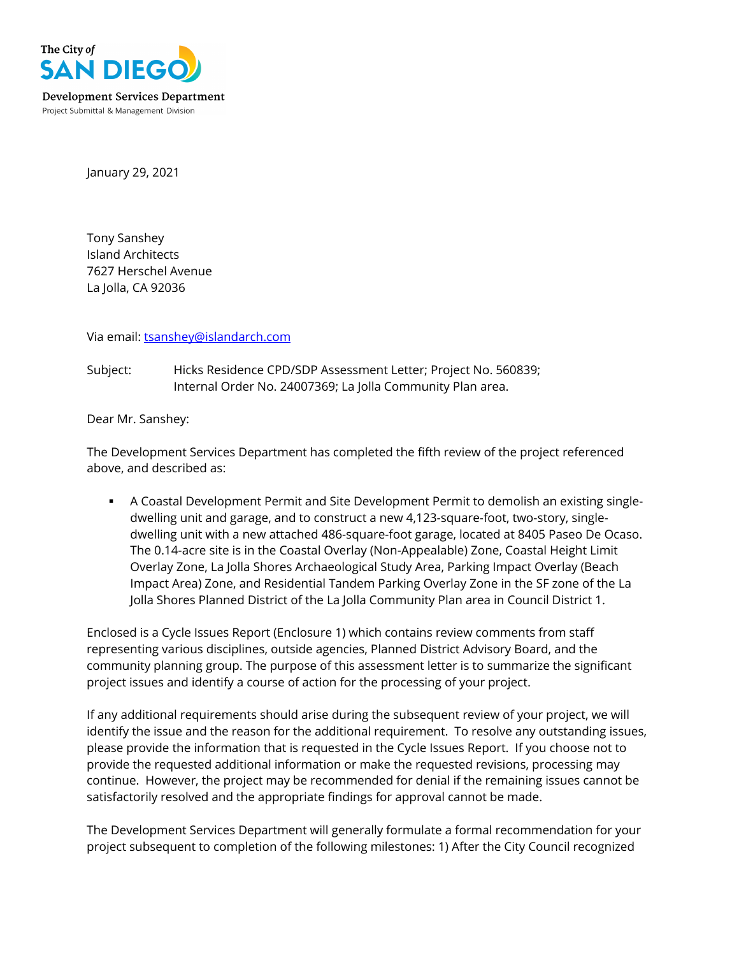

January 29, 2021

Tony Sanshey Island Architects 7627 Herschel Avenue La Jolla, CA 92036

Via email: [tsanshey@islandarch.com](mailto:tsanshey@islandarch.com)

Subject: Hicks Residence CPD/SDP Assessment Letter; Project No. 560839; Internal Order No. 24007369; La Jolla Community Plan area.

Dear Mr. Sanshey:

The Development Services Department has completed the fifth review of the project referenced above, and described as:

 A Coastal Development Permit and Site Development Permit to demolish an existing singledwelling unit and garage, and to construct a new 4,123-square-foot, two-story, singledwelling unit with a new attached 486-square-foot garage, located at 8405 Paseo De Ocaso. The 0.14-acre site is in the Coastal Overlay (Non-Appealable) Zone, Coastal Height Limit Overlay Zone, La Jolla Shores Archaeological Study Area, Parking Impact Overlay (Beach Impact Area) Zone, and Residential Tandem Parking Overlay Zone in the SF zone of the La Jolla Shores Planned District of the La Jolla Community Plan area in Council District 1.

Enclosed is a Cycle Issues Report (Enclosure 1) which contains review comments from staff representing various disciplines, outside agencies, Planned District Advisory Board, and the community planning group. The purpose of this assessment letter is to summarize the significant project issues and identify a course of action for the processing of your project.

If any additional requirements should arise during the subsequent review of your project, we will identify the issue and the reason for the additional requirement. To resolve any outstanding issues, please provide the information that is requested in the Cycle Issues Report. If you choose not to provide the requested additional information or make the requested revisions, processing may continue. However, the project may be recommended for denial if the remaining issues cannot be satisfactorily resolved and the appropriate findings for approval cannot be made.

The Development Services Department will generally formulate a formal recommendation for your project subsequent to completion of the following milestones: 1) After the City Council recognized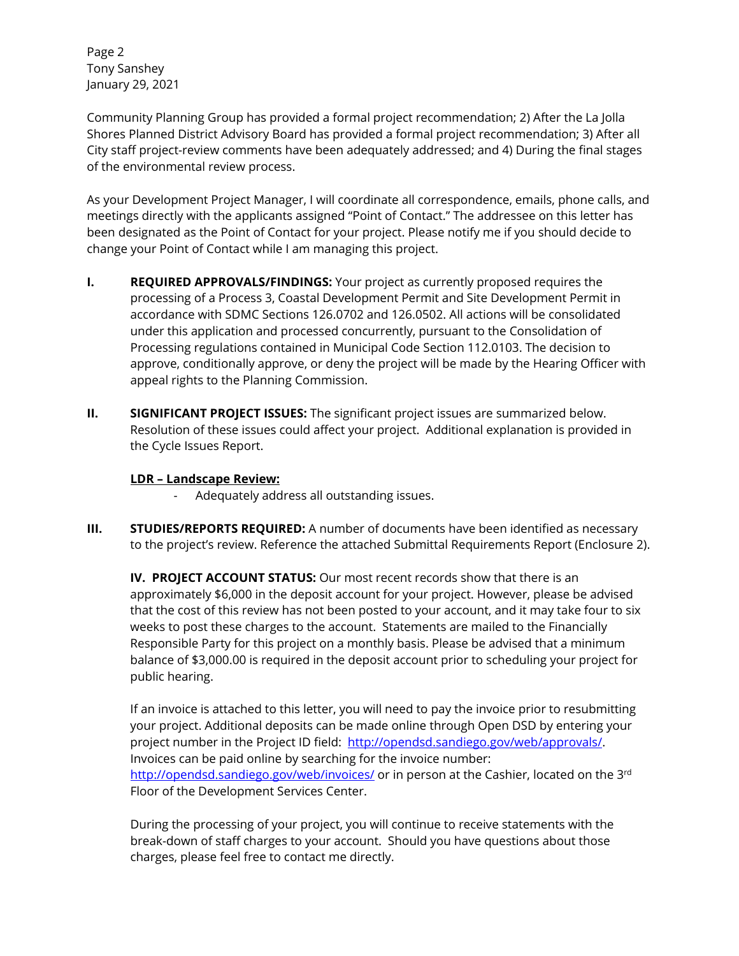Page 2 Tony Sanshey January 29, 2021

Community Planning Group has provided a formal project recommendation; 2) After the La Jolla Shores Planned District Advisory Board has provided a formal project recommendation; 3) After all City staff project-review comments have been adequately addressed; and 4) During the final stages of the environmental review process.

As your Development Project Manager, I will coordinate all correspondence, emails, phone calls, and meetings directly with the applicants assigned "Point of Contact." The addressee on this letter has been designated as the Point of Contact for your project. Please notify me if you should decide to change your Point of Contact while I am managing this project.

- **I. REQUIRED APPROVALS/FINDINGS:** Your project as currently proposed requires the processing of a Process 3, Coastal Development Permit and Site Development Permit in accordance with SDMC Sections 126.0702 and 126.0502. All actions will be consolidated under this application and processed concurrently, pursuant to the Consolidation of Processing regulations contained in Municipal Code Section 112.0103. The decision to approve, conditionally approve, or deny the project will be made by the Hearing Officer with appeal rights to the Planning Commission.
- **II. SIGNIFICANT PROJECT ISSUES:** The significant project issues are summarized below. Resolution of these issues could affect your project. Additional explanation is provided in the Cycle Issues Report.

## **LDR – Landscape Review:**

- Adequately address all outstanding issues.
- **III. STUDIES/REPORTS REQUIRED:** A number of documents have been identified as necessary to the project's review. Reference the attached Submittal Requirements Report (Enclosure 2).

**IV. PROJECT ACCOUNT STATUS:** Our most recent records show that there is an approximately \$6,000 in the deposit account for your project. However, please be advised that the cost of this review has not been posted to your account, and it may take four to six weeks to post these charges to the account. Statements are mailed to the Financially Responsible Party for this project on a monthly basis. Please be advised that a minimum balance of \$3,000.00 is required in the deposit account prior to scheduling your project for public hearing.

If an invoice is attached to this letter, you will need to pay the invoice prior to resubmitting your project. Additional deposits can be made online through Open DSD by entering your project number in the Project ID field: [http://opendsd.sandiego.gov/web/approvals/.](http://opendsd.sandiego.gov/web/approvals/) Invoices can be paid online by searching for the invoice number: <http://opendsd.sandiego.gov/web/invoices/> or in person at the Cashier, located on the 3<sup>rd</sup> Floor of the Development Services Center.

During the processing of your project, you will continue to receive statements with the break-down of staff charges to your account. Should you have questions about those charges, please feel free to contact me directly.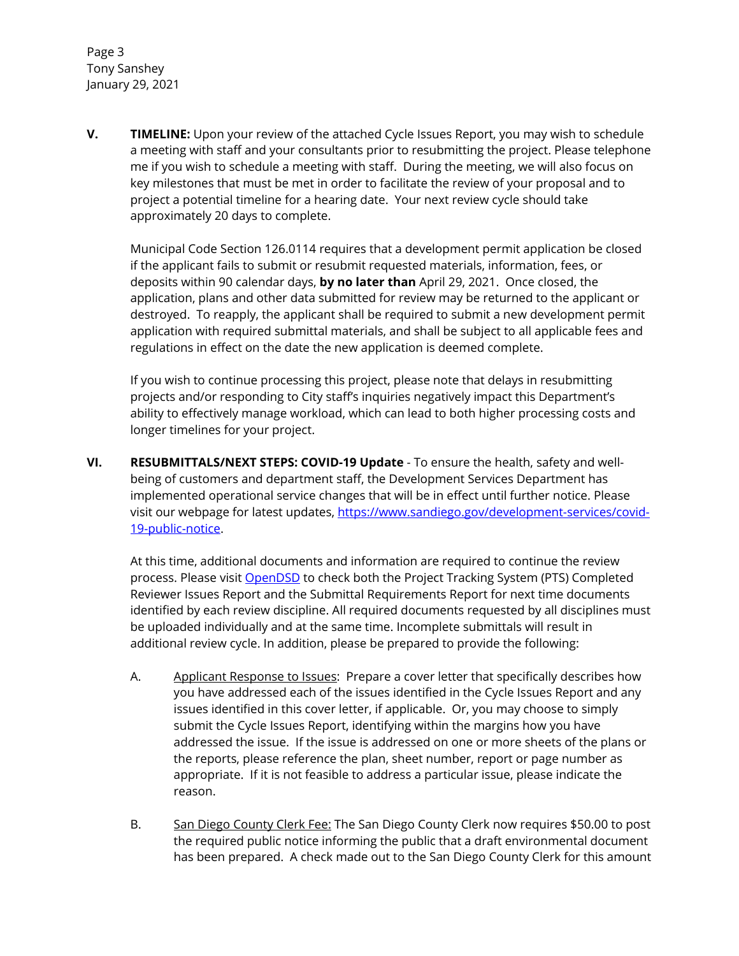Page 3 Tony Sanshey January 29, 2021

**V. TIMELINE:** Upon your review of the attached Cycle Issues Report, you may wish to schedule a meeting with staff and your consultants prior to resubmitting the project. Please telephone me if you wish to schedule a meeting with staff. During the meeting, we will also focus on key milestones that must be met in order to facilitate the review of your proposal and to project a potential timeline for a hearing date. Your next review cycle should take approximately 20 days to complete.

Municipal Code Section 126.0114 requires that a development permit application be closed if the applicant fails to submit or resubmit requested materials, information, fees, or deposits within 90 calendar days, **by no later than** April 29, 2021. Once closed, the application, plans and other data submitted for review may be returned to the applicant or destroyed. To reapply, the applicant shall be required to submit a new development permit application with required submittal materials, and shall be subject to all applicable fees and regulations in effect on the date the new application is deemed complete.

If you wish to continue processing this project, please note that delays in resubmitting projects and/or responding to City staff's inquiries negatively impact this Department's ability to effectively manage workload, which can lead to both higher processing costs and longer timelines for your project.

**VI. RESUBMITTALS/NEXT STEPS: COVID-19 Update** - To ensure the health, safety and wellbeing of customers and department staff, the Development Services Department has implemented operational service changes that will be in effect until further notice. Please visit our webpage for latest updates, [https://www.sandiego.gov/development-services/covid-](https://www.sandiego.gov/development-services/covid-19-public-notice)[19-public-notice.](https://www.sandiego.gov/development-services/covid-19-public-notice)

At this time, additional documents and information are required to continue the review process. Please visit **OpenDSD** to check both the Project Tracking System (PTS) Completed Reviewer Issues Report and the Submittal Requirements Report for next time documents identified by each review discipline. All required documents requested by all disciplines must be uploaded individually and at the same time. Incomplete submittals will result in additional review cycle. In addition, please be prepared to provide the following:

- A. Applicant Response to Issues: Prepare a cover letter that specifically describes how you have addressed each of the issues identified in the Cycle Issues Report and any issues identified in this cover letter, if applicable. Or, you may choose to simply submit the Cycle Issues Report, identifying within the margins how you have addressed the issue. If the issue is addressed on one or more sheets of the plans or the reports, please reference the plan, sheet number, report or page number as appropriate. If it is not feasible to address a particular issue, please indicate the reason.
- B. San Diego County Clerk Fee: The San Diego County Clerk now requires \$50.00 to post the required public notice informing the public that a draft environmental document has been prepared. A check made out to the San Diego County Clerk for this amount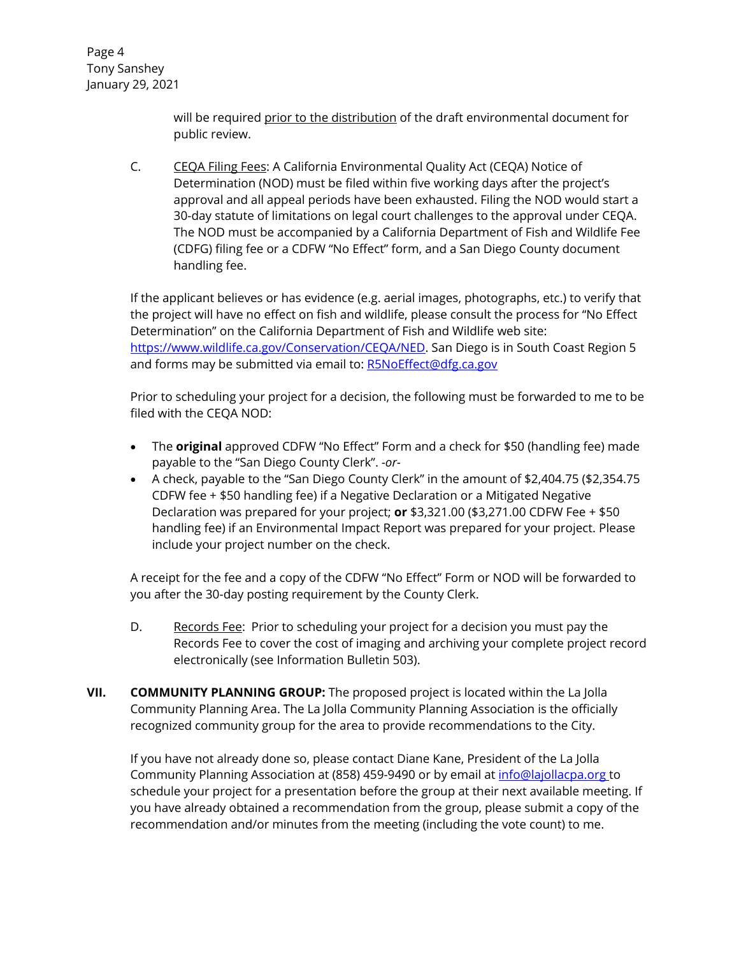Page 4 Tony Sanshey January 29, 2021

> will be required prior to the distribution of the draft environmental document for public review.

C. CEQA Filing Fees: A California Environmental Quality Act (CEQA) Notice of Determination (NOD) must be filed within five working days after the project's approval and all appeal periods have been exhausted. Filing the NOD would start a 30-day statute of limitations on legal court challenges to the approval under CEQA. The NOD must be accompanied by a California Department of Fish and Wildlife Fee (CDFG) filing fee or a CDFW "No Effect" form, and a San Diego County document handling fee.

If the applicant believes or has evidence (e.g. aerial images, photographs, etc.) to verify that the project will have no effect on fish and wildlife, please consult the process for "No Effect Determination" on the California Department of Fish and Wildlife web site: [https://www.wildlife.ca.gov/Conservation/CEQA/NED.](https://www.wildlife.ca.gov/Conservation/CEQA/NED) San Diego is in South Coast Region 5 and forms may be submitted via email to: [R5NoEffect@dfg.ca.gov](mailto:R5NoEffect@dfg.ca.gov)

Prior to scheduling your project for a decision, the following must be forwarded to me to be filed with the CEQA NOD:

- The **original** approved CDFW "No Effect" Form and a check for \$50 (handling fee) made payable to the "San Diego County Clerk". *-or-*
- A check, payable to the "San Diego County Clerk" in the amount of \$2,404.75 (\$2,354.75 CDFW fee + \$50 handling fee) if a Negative Declaration or a Mitigated Negative Declaration was prepared for your project; **or** \$3,321.00 (\$3,271.00 CDFW Fee + \$50 handling fee) if an Environmental Impact Report was prepared for your project. Please include your project number on the check.

A receipt for the fee and a copy of the CDFW "No Effect" Form or NOD will be forwarded to you after the 30-day posting requirement by the County Clerk.

- D. Records Fee: Prior to scheduling your project for a decision you must pay the Records Fee to cover the cost of imaging and archiving your complete project record electronically (see Information Bulletin 503).
- **VII. COMMUNITY PLANNING GROUP:** The proposed project is located within the La Jolla Community Planning Area. The La Jolla Community Planning Association is the officially recognized community group for the area to provide recommendations to the City.

If you have not already done so, please contact Diane Kane, President of the La Jolla Community Planning Association at (858) 459-9490 or by email at [info@lajollacpa.org](mailto:info@lajollacpa.org) to schedule your project for a presentation before the group at their next available meeting. If you have already obtained a recommendation from the group, please submit a copy of the recommendation and/or minutes from the meeting (including the vote count) to me.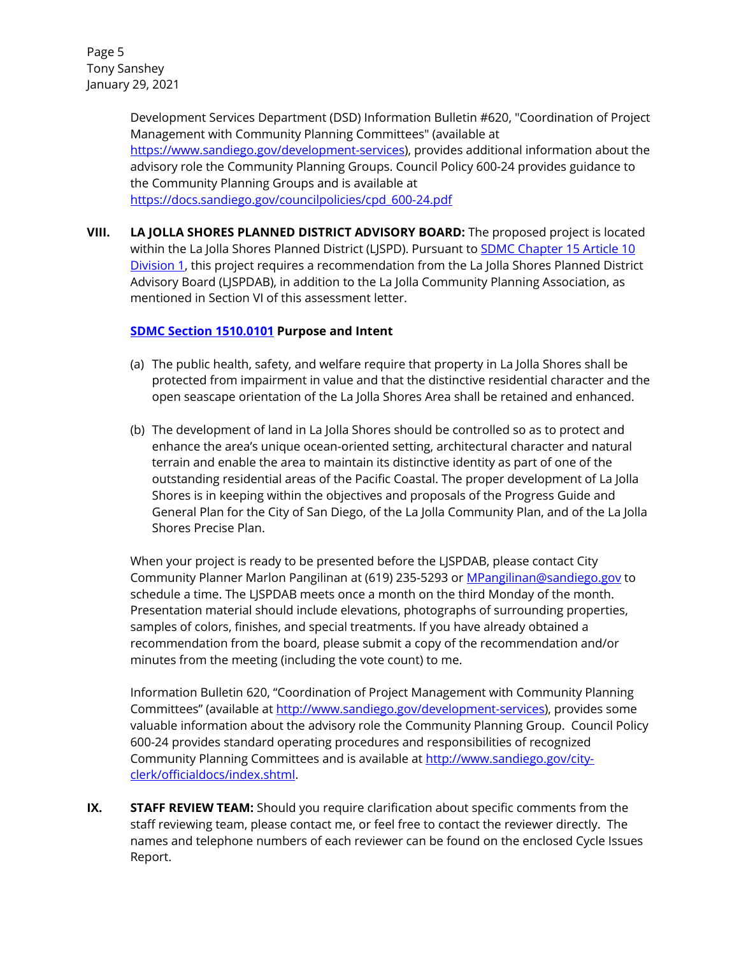Page 5 Tony Sanshey January 29, 2021

> Development Services Department (DSD) Information Bulletin #620, "Coordination of Project Management with Community Planning Committees" (available at [https://www.sandiego.gov/development-services\)](https://www.sandiego.gov/development-services), provides additional information about the advisory role the Community Planning Groups. Council Policy 600-24 provides guidance to the Community Planning Groups and is available at [https://docs.sandiego.gov/councilpolicies/cpd\\_600-24.pdf](https://docs.sandiego.gov/councilpolicies/cpd_600-24.pdf)

**VIII. LA JOLLA SHORES PLANNED DISTRICT ADVISORY BOARD:** The proposed project is located within the La Jolla Shores Planned District (LJSPD). Pursuant to **SDMC Chapter 15 Article 10** [Division 1,](http://www.lajollacpa.org/city/LaJollaShoresPDO.pdf) this project requires a recommendation from the La Jolla Shores Planned District Advisory Board (LJSPDAB), in addition to the La Jolla Community Planning Association, as mentioned in Section VI of this assessment letter.

## **[SDMC Section 1510.0101](http://www.lajollacpa.org/city/LaJollaShoresPDO.pdf) Purpose and Intent**

- (a) The public health, safety, and welfare require that property in La Jolla Shores shall be protected from impairment in value and that the distinctive residential character and the open seascape orientation of the La Jolla Shores Area shall be retained and enhanced.
- (b) The development of land in La Jolla Shores should be controlled so as to protect and enhance the area's unique ocean-oriented setting, architectural character and natural terrain and enable the area to maintain its distinctive identity as part of one of the outstanding residential areas of the Pacific Coastal. The proper development of La Jolla Shores is in keeping within the objectives and proposals of the Progress Guide and General Plan for the City of San Diego, of the La Jolla Community Plan, and of the La Jolla Shores Precise Plan.

When your project is ready to be presented before the LJSPDAB, please contact City Community Planner Marlon Pangilinan at (619) 235-5293 o[r MPangilinan@sandiego.gov](mailto:MPangilinan@sandiego.gov) to schedule a time. The LJSPDAB meets once a month on the third Monday of the month. Presentation material should include elevations, photographs of surrounding properties, samples of colors, finishes, and special treatments. If you have already obtained a recommendation from the board, please submit a copy of the recommendation and/or minutes from the meeting (including the vote count) to me.

Information Bulletin 620, "Coordination of Project Management with Community Planning Committees" (available at [http://www.sandiego.gov/development-services\)](http://www.sandiego.gov/development-services/), provides some valuable information about the advisory role the Community Planning Group. Council Policy 600-24 provides standard operating procedures and responsibilities of recognized Community Planning Committees and is available at [http://www.sandiego.gov/city](http://www.sandiego.gov/city-clerk/officialdocs/index.shtml)[clerk/officialdocs/index.shtml](http://www.sandiego.gov/city-clerk/officialdocs/index.shtml).

**IX. STAFF REVIEW TEAM:** Should you require clarification about specific comments from the staff reviewing team, please contact me, or feel free to contact the reviewer directly. The names and telephone numbers of each reviewer can be found on the enclosed Cycle Issues Report.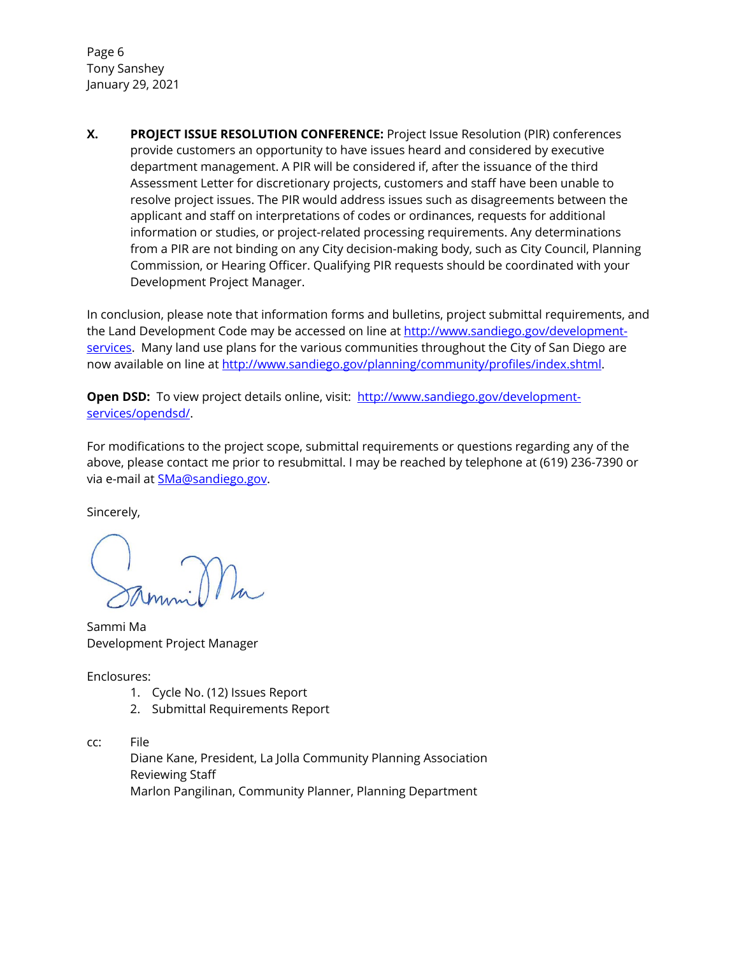Page 6 Tony Sanshey January 29, 2021

**X. PROJECT ISSUE RESOLUTION CONFERENCE:** Project Issue Resolution (PIR) conferences provide customers an opportunity to have issues heard and considered by executive department management. A PIR will be considered if, after the issuance of the third Assessment Letter for discretionary projects, customers and staff have been unable to resolve project issues. The PIR would address issues such as disagreements between the applicant and staff on interpretations of codes or ordinances, requests for additional information or studies, or project-related processing requirements. Any determinations from a PIR are not binding on any City decision-making body, such as City Council, Planning Commission, or Hearing Officer. Qualifying PIR requests should be coordinated with your Development Project Manager.

In conclusion, please note that information forms and bulletins, project submittal requirements, and the Land Development Code may be accessed on line at [http://www.sandiego.gov/development](http://www.sandiego.gov/development-services/)[services.](http://www.sandiego.gov/development-services/) Many land use plans for the various communities throughout the City of San Diego are now available on line at [http://www.sandiego.gov/planning/community/profiles/index.shtml.](http://www.sandiego.gov/planning/community/profiles/index.shtml)

**Open DSD:** To view project details online, visit: [http://www.sandiego.gov/development](http://www.sandiego.gov/development-services/opendsd/)[services/opendsd/.](http://www.sandiego.gov/development-services/opendsd/)

For modifications to the project scope, submittal requirements or questions regarding any of the above, please contact me prior to resubmittal. I may be reached by telephone at (619) 236-7390 or via e-mail at **SMa@sandiego.gov**.

Sincerely,

Sammi Ma Development Project Manager

Enclosures:

- 1. Cycle No. (12) Issues Report
- 2. Submittal Requirements Report
- cc: File

Diane Kane, President, La Jolla Community Planning Association Reviewing Staff Marlon Pangilinan, Community Planner, Planning Department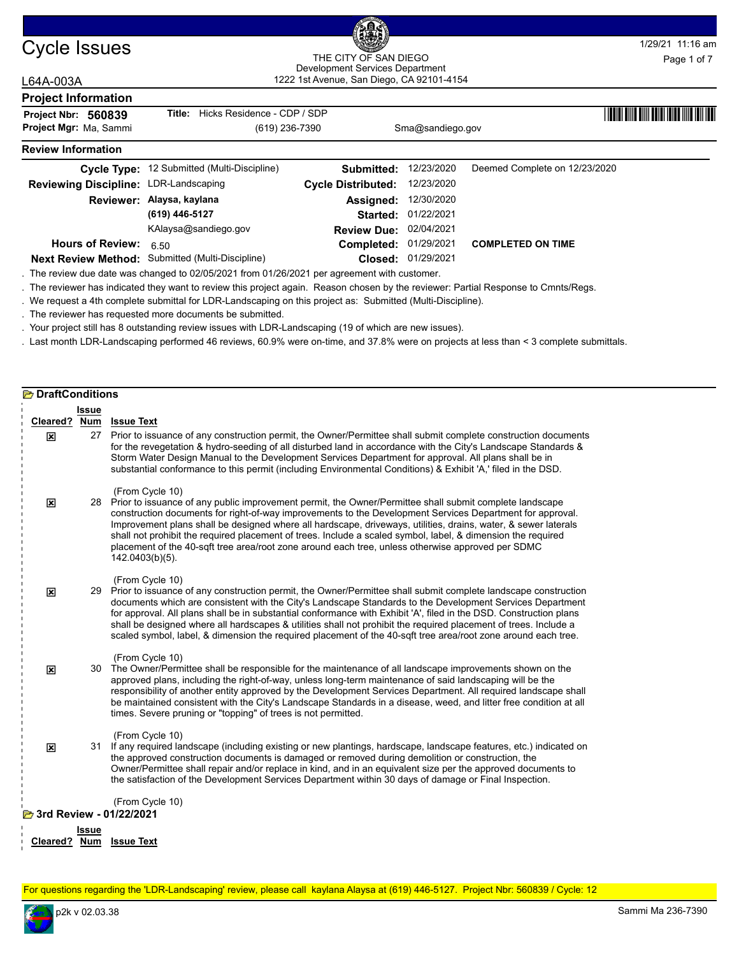

### Cycle Issues THE CITY OF SAN DIEGO MANUSCON THE CITY OF SAN DIEGO PROPERTY OF SAN DIEGO 1222 1st Avenue, San Diego, CA 92101-4154 THE CITY OF SAN DIEGO Development Services Department

## L64A-003A

| --------                              |                                                                                                                                  |                               |                    |                               |
|---------------------------------------|----------------------------------------------------------------------------------------------------------------------------------|-------------------------------|--------------------|-------------------------------|
| <b>Project Information</b>            |                                                                                                                                  |                               |                    |                               |
| Project Nbr: 560839                   | Hicks Residence - CDP / SDP<br>Title:                                                                                            |                               |                    |                               |
| Project Mgr: Ma, Sammi                | (619) 236-7390                                                                                                                   |                               | Sma@sandiego.gov   |                               |
| <b>Review Information</b>             |                                                                                                                                  |                               |                    |                               |
|                                       | Cycle Type: 12 Submitted (Multi-Discipline)                                                                                      | Submitted:                    | 12/23/2020         | Deemed Complete on 12/23/2020 |
| Reviewing Discipline: LDR-Landscaping |                                                                                                                                  | <b>Cycle Distributed:</b>     | 12/23/2020         |                               |
|                                       | Reviewer: Alaysa, kaylana                                                                                                        | Assigned:                     | 12/30/2020         |                               |
|                                       | (619) 446-5127                                                                                                                   | Started:                      | 01/22/2021         |                               |
|                                       | KAlaysa@sandiego.gov                                                                                                             | <b>Review Due: 02/04/2021</b> |                    |                               |
| <b>Hours of Review:</b>               | 6.50                                                                                                                             | Completed: 01/29/2021         |                    | <b>COMPLETED ON TIME</b>      |
|                                       | Next Review Method: Submitted (Multi-Discipline)                                                                                 |                               | Closed: 01/29/2021 |                               |
|                                       | . The review due date was changed to 02/05/2021 from 01/26/2021 per agreement with customer.                                     |                               |                    |                               |
|                                       | The reviewer has indicated they want to review this project again. Reason chosen by the reviewer: Partial Response to Cmpts/Reas |                               |                    |                               |

. The reviewer has indicated they want to review this project again. Reason chosen by the reviewer: Partial Response to Cmnts/Regs.

. We request a 4th complete submittal for LDR-Landscaping on this project as: Submitted (Multi-Discipline).

. The reviewer has requested more documents be submitted.

. Your project still has 8 outstanding review issues with LDR-Landscaping (19 of which are new issues).

. Last month LDR-Landscaping performed 46 reviews, 60.9% were on-time, and 37.8% were on projects at less than < 3 complete submittals.

| <b>E</b> DraftConditions |                                            |                                                                                                                                                                                                                                                                                                                                                                                                                                                                                                                                                                                                              |  |  |  |  |  |  |
|--------------------------|--------------------------------------------|--------------------------------------------------------------------------------------------------------------------------------------------------------------------------------------------------------------------------------------------------------------------------------------------------------------------------------------------------------------------------------------------------------------------------------------------------------------------------------------------------------------------------------------------------------------------------------------------------------------|--|--|--|--|--|--|
|                          | Issue                                      |                                                                                                                                                                                                                                                                                                                                                                                                                                                                                                                                                                                                              |  |  |  |  |  |  |
|                          |                                            | Cleared? Num Issue Text                                                                                                                                                                                                                                                                                                                                                                                                                                                                                                                                                                                      |  |  |  |  |  |  |
| 図                        |                                            | 27 Prior to issuance of any construction permit, the Owner/Permittee shall submit complete construction documents<br>for the revegetation & hydro-seeding of all disturbed land in accordance with the City's Landscape Standards &<br>Storm Water Design Manual to the Development Services Department for approval. All plans shall be in<br>substantial conformance to this permit (including Environmental Conditions) & Exhibit 'A,' filed in the DSD.                                                                                                                                                  |  |  |  |  |  |  |
| 図                        |                                            | (From Cycle 10)<br>28 Prior to issuance of any public improvement permit, the Owner/Permittee shall submit complete landscape<br>construction documents for right-of-way improvements to the Development Services Department for approval.<br>Improvement plans shall be designed where all hardscape, driveways, utilities, drains, water, & sewer laterals<br>shall not prohibit the required placement of trees. Include a scaled symbol, label, & dimension the required<br>placement of the 40-sqft tree area/root zone around each tree, unless otherwise approved per SDMC<br>142.0403(b)(5).         |  |  |  |  |  |  |
| ×                        |                                            | (From Cycle 10)<br>29 Prior to issuance of any construction permit, the Owner/Permittee shall submit complete landscape construction<br>documents which are consistent with the City's Landscape Standards to the Development Services Department<br>for approval. All plans shall be in substantial conformance with Exhibit 'A', filed in the DSD. Construction plans<br>shall be designed where all hardscapes & utilities shall not prohibit the required placement of trees. Include a<br>scaled symbol, label, & dimension the required placement of the 40-sqft tree area/root zone around each tree. |  |  |  |  |  |  |
| $\overline{\mathbf{x}}$  |                                            | (From Cycle 10)<br>30 The Owner/Permittee shall be responsible for the maintenance of all landscape improvements shown on the<br>approved plans, including the right-of-way, unless long-term maintenance of said landscaping will be the<br>responsibility of another entity approved by the Development Services Department. All required landscape shall<br>be maintained consistent with the City's Landscape Standards in a disease, weed, and litter free condition at all<br>times. Severe pruning or "topping" of trees is not permitted.                                                            |  |  |  |  |  |  |
| 図                        |                                            | (From Cycle 10)<br>31 If any required landscape (including existing or new plantings, hardscape, landscape features, etc.) indicated on<br>the approved construction documents is damaged or removed during demolition or construction, the<br>Owner/Permittee shall repair and/or replace in kind, and in an equivalent size per the approved documents to<br>the satisfaction of the Development Services Department within 30 days of damage or Final Inspection.                                                                                                                                         |  |  |  |  |  |  |
|                          | (From Cycle 10)<br>3rd Review - 01/22/2021 |                                                                                                                                                                                                                                                                                                                                                                                                                                                                                                                                                                                                              |  |  |  |  |  |  |
|                          | Issue                                      |                                                                                                                                                                                                                                                                                                                                                                                                                                                                                                                                                                                                              |  |  |  |  |  |  |
| Cleared? Num             |                                            | <b>Issue Text</b>                                                                                                                                                                                                                                                                                                                                                                                                                                                                                                                                                                                            |  |  |  |  |  |  |

For questions regarding the 'LDR-Landscaping' review, please call kaylana Alaysa at (619) 446-5127. Project Nbr: 560839 / Cycle: 12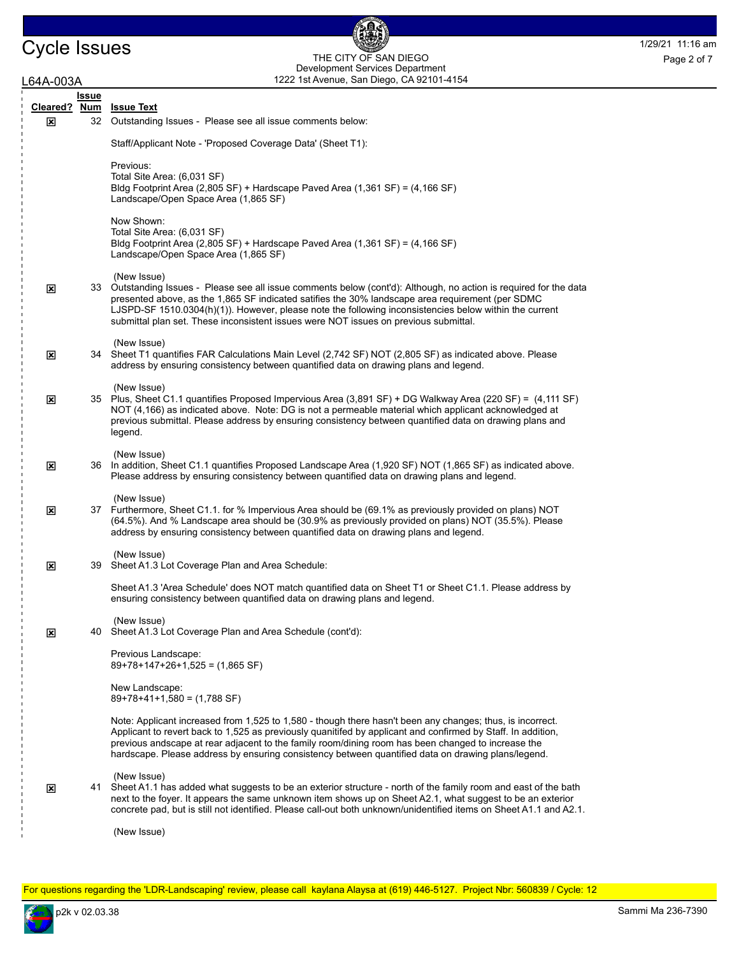## Cycle Issues THE CITY OF SAN DIEGO Page 2 of 7 1222 1st Avenue, San Diego, CA 92101-4154 THE CITY OF SAN DIEGO Development Services Department Page 2 of 7

偑

| L64A-003A    |                            | 1222 1st Avenue, San Diego, CA 92101-4154                                                                                                                                                                                                                                                                                                                                                                                               |
|--------------|----------------------------|-----------------------------------------------------------------------------------------------------------------------------------------------------------------------------------------------------------------------------------------------------------------------------------------------------------------------------------------------------------------------------------------------------------------------------------------|
| Cleared?     | <b>Issue</b><br><u>Num</u> | <b>Issue Text</b>                                                                                                                                                                                                                                                                                                                                                                                                                       |
| $\mathbf x$  | 32                         | Outstanding Issues - Please see all issue comments below:                                                                                                                                                                                                                                                                                                                                                                               |
|              |                            | Staff/Applicant Note - 'Proposed Coverage Data' (Sheet T1):                                                                                                                                                                                                                                                                                                                                                                             |
|              |                            | Previous:<br>Total Site Area: (6,031 SF)<br>Bldg Footprint Area (2,805 SF) + Hardscape Paved Area (1,361 SF) = (4,166 SF)<br>Landscape/Open Space Area (1,865 SF)                                                                                                                                                                                                                                                                       |
|              |                            | Now Shown:<br>Total Site Area: (6,031 SF)<br>Bldg Footprint Area (2,805 SF) + Hardscape Paved Area (1,361 SF) = (4,166 SF)<br>Landscape/Open Space Area (1,865 SF)                                                                                                                                                                                                                                                                      |
| ⊠            |                            | (New Issue)<br>33 Outstanding Issues - Please see all issue comments below (cont'd): Although, no action is required for the data<br>presented above, as the 1,865 SF indicated satifies the 30% landscape area requirement (per SDMC<br>LJSPD-SF 1510.0304(h)(1)). However, please note the following inconsistencies below within the current<br>submittal plan set. These inconsistent issues were NOT issues on previous submittal. |
| ⊠            |                            | (New Issue)<br>34 Sheet T1 quantifies FAR Calculations Main Level (2,742 SF) NOT (2,805 SF) as indicated above. Please<br>address by ensuring consistency between quantified data on drawing plans and legend.                                                                                                                                                                                                                          |
| ⊠            |                            | (New Issue)<br>35 Plus, Sheet C1.1 quantifies Proposed Impervious Area (3,891 SF) + DG Walkway Area (220 SF) = (4,111 SF)<br>NOT (4,166) as indicated above. Note: DG is not a permeable material which applicant acknowledged at<br>previous submittal. Please address by ensuring consistency between quantified data on drawing plans and<br>legend.                                                                                 |
| 区            |                            | (New Issue)<br>36 In addition, Sheet C1.1 quantifies Proposed Landscape Area (1,920 SF) NOT (1,865 SF) as indicated above.<br>Please address by ensuring consistency between quantified data on drawing plans and legend.                                                                                                                                                                                                               |
| ⊠            |                            | (New Issue)<br>37 Furthermore, Sheet C1.1. for % Impervious Area should be (69.1% as previously provided on plans) NOT<br>(64.5%). And % Landscape area should be (30.9% as previously provided on plans) NOT (35.5%). Please<br>address by ensuring consistency between quantified data on drawing plans and legend.                                                                                                                   |
| $\mathbf{x}$ |                            | (New Issue)<br>39 Sheet A1.3 Lot Coverage Plan and Area Schedule:                                                                                                                                                                                                                                                                                                                                                                       |
|              |                            | Sheet A1.3 'Area Schedule' does NOT match quantified data on Sheet T1 or Sheet C1.1. Please address by<br>ensuring consistency between quantified data on drawing plans and legend.                                                                                                                                                                                                                                                     |
| ⊠            |                            | (New Issue)<br>40 Sheet A1.3 Lot Coverage Plan and Area Schedule (cont'd):                                                                                                                                                                                                                                                                                                                                                              |
|              |                            | Previous Landscape:<br>$89+78+147+26+1,525 = (1,865 SF)$                                                                                                                                                                                                                                                                                                                                                                                |
|              |                            | New Landscape:<br>$89+78+41+1,580 = (1,788$ SF)                                                                                                                                                                                                                                                                                                                                                                                         |
|              |                            | Note: Applicant increased from 1,525 to 1,580 - though there hasn't been any changes; thus, is incorrect.<br>Applicant to revert back to 1,525 as previously quanitifed by applicant and confirmed by Staff. In addition,<br>previous andscape at rear adjacent to the family room/dining room has been changed to increase the<br>hardscape. Please address by ensuring consistency between quantified data on drawing plans/legend.   |
| 区            |                            | (New Issue)<br>41 Sheet A1.1 has added what suggests to be an exterior structure - north of the family room and east of the bath<br>next to the foyer. It appears the same unknown item shows up on Sheet A2.1, what suggest to be an exterior<br>concrete pad, but is still not identified. Please call-out both unknown/unidentified items on Sheet A1.1 and A2.1.                                                                    |
|              |                            | (New Issue)                                                                                                                                                                                                                                                                                                                                                                                                                             |

For questions regarding the 'LDR-Landscaping' review, please call kaylana Alaysa at (619) 446-5127. Project Nbr: 560839 / Cycle: 12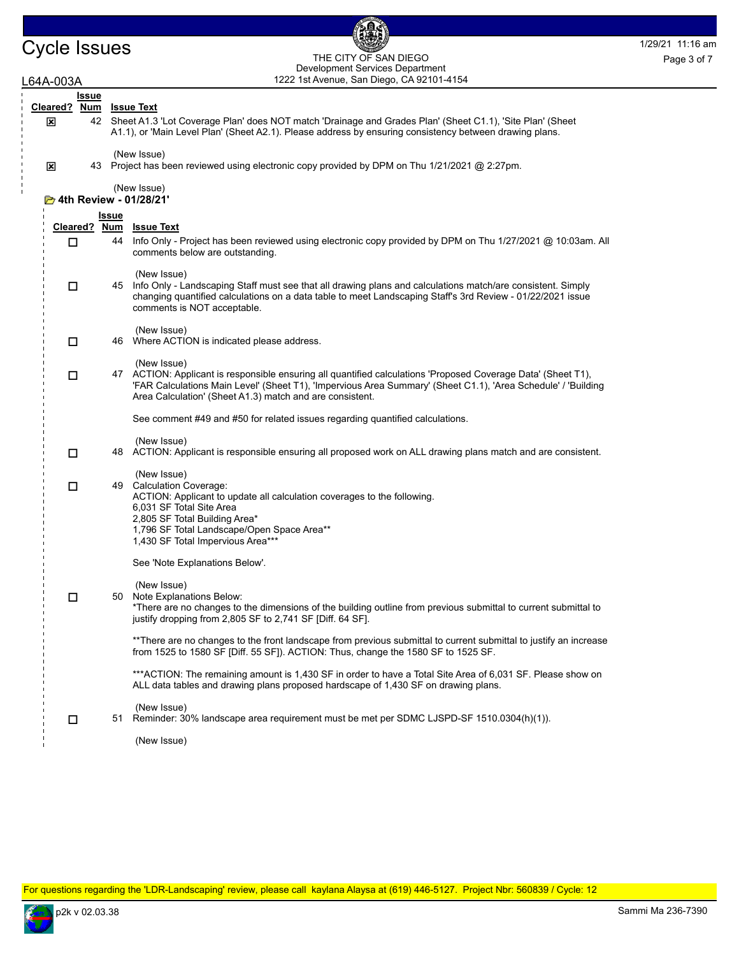## Cycle Issues THE CITY OF SAN DIEGO Page 3 of 7 THE CITY OF SAN DIEGO Development Services Department Page 3 of 7

| L64A-003A                   |                              |              | 1222 1st Avenue, San Diego, CA 92101-4154                                                                                                                                                                                                                                                                 |
|-----------------------------|------------------------------|--------------|-----------------------------------------------------------------------------------------------------------------------------------------------------------------------------------------------------------------------------------------------------------------------------------------------------------|
|                             | <b>Issue</b><br>Cleared? Num |              | <u>Issue Text</u>                                                                                                                                                                                                                                                                                         |
| ⊠                           | 42                           |              | Sheet A1.3 'Lot Coverage Plan' does NOT match 'Drainage and Grades Plan' (Sheet C1.1), 'Site Plan' (Sheet<br>A1.1), or 'Main Level Plan' (Sheet A2.1). Please address by ensuring consistency between drawing plans.                                                                                      |
| $\mathbf x$                 |                              |              | (New Issue)<br>43 Project has been reviewed using electronic copy provided by DPM on Thu 1/21/2021 @ 2:27pm.                                                                                                                                                                                              |
| $\mathbf{I}$<br>$\mathbb I$ |                              |              | (New Issue)<br><b>E</b> 4th Review - 01/28/21'                                                                                                                                                                                                                                                            |
|                             |                              | <b>Issue</b> |                                                                                                                                                                                                                                                                                                           |
|                             | Cleared? Num<br>□            | 44           | <b>Issue Text</b><br>Info Only - Project has been reviewed using electronic copy provided by DPM on Thu 1/27/2021 @ 10:03am. All<br>comments below are outstanding.                                                                                                                                       |
|                             | □                            |              | (New Issue)<br>45 Info Only - Landscaping Staff must see that all drawing plans and calculations match/are consistent. Simply<br>changing quantified calculations on a data table to meet Landscaping Staff's 3rd Review - 01/22/2021 issue<br>comments is NOT acceptable.                                |
|                             | $\Box$                       |              | (New Issue)<br>46 Where ACTION is indicated please address.                                                                                                                                                                                                                                               |
|                             | $\Box$                       |              | (New Issue)<br>47 ACTION: Applicant is responsible ensuring all quantified calculations 'Proposed Coverage Data' (Sheet T1),<br>'FAR Calculations Main Level' (Sheet T1), 'Impervious Area Summary' (Sheet C1.1), 'Area Schedule' / 'Building<br>Area Calculation' (Sheet A1.3) match and are consistent. |
|                             |                              |              | See comment #49 and #50 for related issues regarding quantified calculations.                                                                                                                                                                                                                             |
|                             | п                            |              | (New Issue)<br>48 ACTION: Applicant is responsible ensuring all proposed work on ALL drawing plans match and are consistent.                                                                                                                                                                              |
|                             | □                            |              | (New Issue)<br>49 Calculation Coverage:<br>ACTION: Applicant to update all calculation coverages to the following.<br>6,031 SF Total Site Area                                                                                                                                                            |
|                             |                              |              | 2,805 SF Total Building Area*<br>1,796 SF Total Landscape/Open Space Area**<br>1,430 SF Total Impervious Area***                                                                                                                                                                                          |
|                             |                              |              | See 'Note Explanations Below'.                                                                                                                                                                                                                                                                            |
|                             | □                            | 50           | (New Issue)<br>Note Explanations Below:<br>*There are no changes to the dimensions of the building outline from previous submittal to current submittal to<br>justify dropping from 2,805 SF to 2,741 SF [Diff. 64 SF].                                                                                   |
|                             |                              |              | **There are no changes to the front landscape from previous submittal to current submittal to justify an increase<br>from 1525 to 1580 SF [Diff. 55 SF]). ACTION: Thus, change the 1580 SF to 1525 SF.                                                                                                    |
|                             |                              |              | ***ACTION: The remaining amount is 1,430 SF in order to have a Total Site Area of 6,031 SF. Please show on<br>ALL data tables and drawing plans proposed hardscape of 1,430 SF on drawing plans.                                                                                                          |
|                             | □                            | 51           | (New Issue)<br>Reminder: 30% landscape area requirement must be met per SDMC LJSPD-SF 1510.0304(h)(1)).                                                                                                                                                                                                   |
|                             |                              |              | (New Issue)                                                                                                                                                                                                                                                                                               |

For questions regarding the 'LDR-Landscaping' review, please call kaylana Alaysa at (619) 446-5127. Project Nbr: 560839 / Cycle: 12

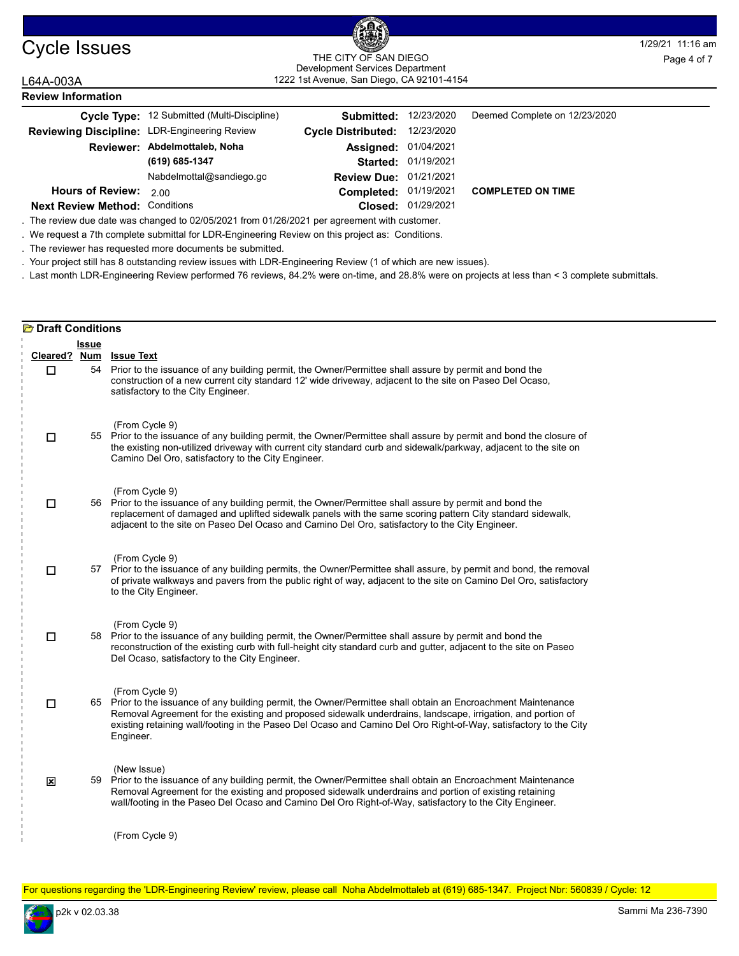| Cycle Issues |  |  |
|--------------|--|--|
|              |  |  |

#### Cycle Issues **1/29/21 11:16 am** 1222 1st Avenue, San Diego, CA 92101-4154 THE CITY OF SAN DIEGO THE CITY OF SAN DIEGO<br>Development Services Department Page 4 of 7

#### L64A-003A **Review Information** Cycle Type: 12 Submitted (Multi-Discipline) **12/23/2010** Submitted: 12/23/2020 Deemed Complete on 12/23/2020 **Closed:** 01/29/2021 Reviewing Discipline: LDR-Engineering Review 01/19/2021 **Started:** 01/19/2021 **Completed: Assigned: 01/04/2021 (619) 685-1347 Next Review Method: Conditions Review Due:** 01/21/2021 **Reviewer: Abdelmottaleb, Noha COMPLETED ON TIME Cycle Distributed:** 12/23/2020 **Hours of Review:** 2.00 Nabdelmottal@sandiego.go

. The review due date was changed to 02/05/2021 from 01/26/2021 per agreement with customer.

. We request a 7th complete submittal for LDR-Engineering Review on this project as: Conditions.

. The reviewer has requested more documents be submitted.

. Your project still has 8 outstanding review issues with LDR-Engineering Review (1 of which are new issues).

. Last month LDR-Engineering Review performed 76 reviews, 84.2% were on-time, and 28.8% were on projects at less than < 3 complete submittals.

| <b>E</b> Draft Conditions |       |                                                                                                                                                                                                                                                                                                                                                                                 |
|---------------------------|-------|---------------------------------------------------------------------------------------------------------------------------------------------------------------------------------------------------------------------------------------------------------------------------------------------------------------------------------------------------------------------------------|
|                           | Issue |                                                                                                                                                                                                                                                                                                                                                                                 |
| Cleared? Num<br>$\Box$    |       | <b>Issue Text</b><br>54 Prior to the issuance of any building permit, the Owner/Permittee shall assure by permit and bond the<br>construction of a new current city standard 12' wide driveway, adjacent to the site on Paseo Del Ocaso,<br>satisfactory to the City Engineer.                                                                                                  |
| □                         |       | (From Cycle 9)<br>55 Prior to the issuance of any building permit, the Owner/Permittee shall assure by permit and bond the closure of<br>the existing non-utilized driveway with current city standard curb and sidewalk/parkway, adjacent to the site on<br>Camino Del Oro, satisfactory to the City Engineer.                                                                 |
| □                         |       | (From Cycle 9)<br>56 Prior to the issuance of any building permit, the Owner/Permittee shall assure by permit and bond the<br>replacement of damaged and uplifted sidewalk panels with the same scoring pattern City standard sidewalk,<br>adjacent to the site on Paseo Del Ocaso and Camino Del Oro, satisfactory to the City Engineer.                                       |
| □                         |       | (From Cycle 9)<br>57 Prior to the issuance of any building permits, the Owner/Permittee shall assure, by permit and bond, the removal<br>of private walkways and pavers from the public right of way, adjacent to the site on Camino Del Oro, satisfactory<br>to the City Engineer.                                                                                             |
| □                         |       | (From Cycle 9)<br>58 Prior to the issuance of any building permit, the Owner/Permittee shall assure by permit and bond the<br>reconstruction of the existing curb with full-height city standard curb and gutter, adjacent to the site on Paseo<br>Del Ocaso, satisfactory to the City Engineer.                                                                                |
| □                         |       | (From Cycle 9)<br>65 Prior to the issuance of any building permit, the Owner/Permittee shall obtain an Encroachment Maintenance<br>Removal Agreement for the existing and proposed sidewalk underdrains, landscape, irrigation, and portion of<br>existing retaining wall/footing in the Paseo Del Ocaso and Camino Del Oro Right-of-Way, satisfactory to the City<br>Engineer. |
| $\boldsymbol{\mathsf{x}}$ |       | (New Issue)<br>59 Prior to the issuance of any building permit, the Owner/Permittee shall obtain an Encroachment Maintenance<br>Removal Agreement for the existing and proposed sidewalk underdrains and portion of existing retaining<br>wall/footing in the Paseo Del Ocaso and Camino Del Oro Right-of-Way, satisfactory to the City Engineer.                               |
|                           |       | (From Cycle 9)                                                                                                                                                                                                                                                                                                                                                                  |

For questions regarding the 'LDR-Engineering Review' review, please call Noha Abdelmottaleb at (619) 685-1347. Project Nbr: 560839 / Cycle: 12

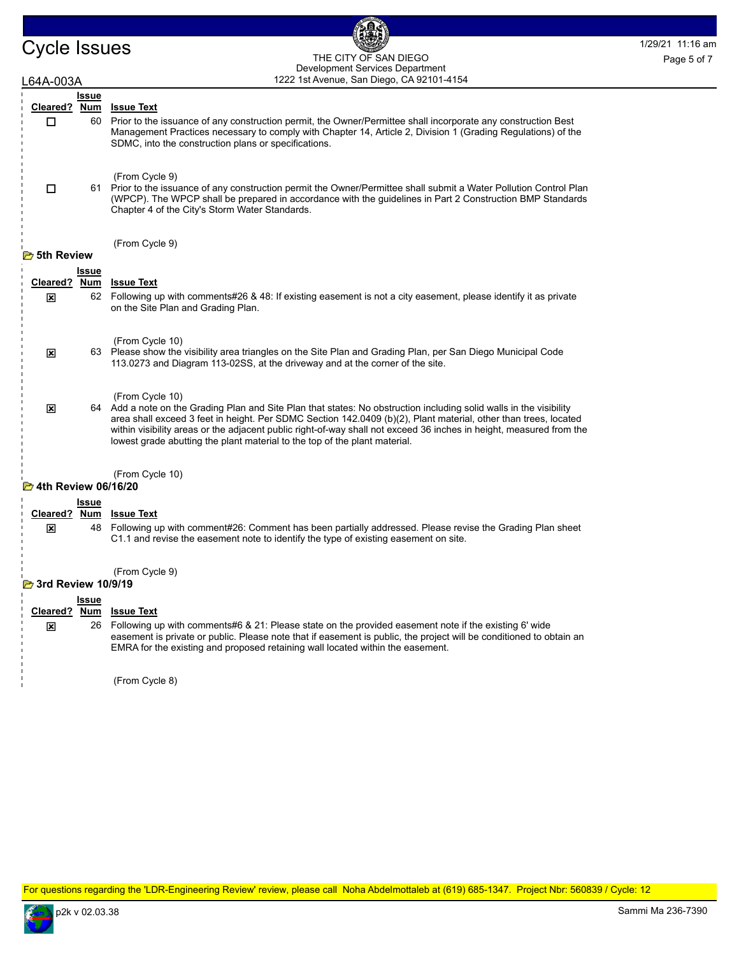Cycle Issues and the city of san DIEGO THE CITY OF SAN DIEGO Property of the CITY OF SAN DIEGO 1222 1st Avenue, San Diego, CA 92101-4154 THE CITY OF SAN DIEGO Development Services Department Page 5 of 7

₫

| .64A-003A                     |              | 1222 1st Avenue, San Diego, CA 92101-4154                                                                                                                                                                                                                                                                                                                                                                                                                      |
|-------------------------------|--------------|----------------------------------------------------------------------------------------------------------------------------------------------------------------------------------------------------------------------------------------------------------------------------------------------------------------------------------------------------------------------------------------------------------------------------------------------------------------|
|                               | Issue        |                                                                                                                                                                                                                                                                                                                                                                                                                                                                |
| Cleared? Num                  |              | <b>Issue Text</b>                                                                                                                                                                                                                                                                                                                                                                                                                                              |
| □                             | 60           | Prior to the issuance of any construction permit, the Owner/Permittee shall incorporate any construction Best<br>Management Practices necessary to comply with Chapter 14, Article 2, Division 1 (Grading Regulations) of the<br>SDMC, into the construction plans or specifications.                                                                                                                                                                          |
| □                             |              | (From Cycle 9)<br>61 Prior to the issuance of any construction permit the Owner/Permittee shall submit a Water Pollution Control Plan<br>(WPCP). The WPCP shall be prepared in accordance with the guidelines in Part 2 Construction BMP Standards<br>Chapter 4 of the City's Storm Water Standards.                                                                                                                                                           |
| rath Review <del>Da</del>     |              | (From Cycle 9)                                                                                                                                                                                                                                                                                                                                                                                                                                                 |
|                               | <b>Issue</b> |                                                                                                                                                                                                                                                                                                                                                                                                                                                                |
| Cleared?                      | Num          | <u>Issue Text</u>                                                                                                                                                                                                                                                                                                                                                                                                                                              |
| ⊠                             |              | 62 Following up with comments#26 & 48: If existing easement is not a city easement, please identify it as private<br>on the Site Plan and Grading Plan.                                                                                                                                                                                                                                                                                                        |
|                               |              |                                                                                                                                                                                                                                                                                                                                                                                                                                                                |
| 図                             |              | (From Cycle 10)<br>63 Please show the visibility area triangles on the Site Plan and Grading Plan, per San Diego Municipal Code<br>113.0273 and Diagram 113-02SS, at the driveway and at the corner of the site.                                                                                                                                                                                                                                               |
| 図                             |              | (From Cycle 10)<br>64 Add a note on the Grading Plan and Site Plan that states: No obstruction including solid walls in the visibility<br>area shall exceed 3 feet in height. Per SDMC Section 142.0409 (b)(2), Plant material, other than trees, located<br>within visibility areas or the adjacent public right-of-way shall not exceed 36 inches in height, measured from the<br>lowest grade abutting the plant material to the top of the plant material. |
| <b>20 4th Review 06/16/20</b> |              | (From Cycle 10)                                                                                                                                                                                                                                                                                                                                                                                                                                                |
|                               | <u>Issue</u> |                                                                                                                                                                                                                                                                                                                                                                                                                                                                |
| Cleared?                      | <u>Num</u>   | <u>Issue Text</u>                                                                                                                                                                                                                                                                                                                                                                                                                                              |
| ⊠                             | 48           | Following up with comment#26: Comment has been partially addressed. Please revise the Grading Plan sheet<br>C1.1 and revise the easement note to identify the type of existing easement on site.                                                                                                                                                                                                                                                               |
| <b>2</b> 3rd Review 10/9/19   |              | (From Cycle 9)                                                                                                                                                                                                                                                                                                                                                                                                                                                 |
|                               | <b>Issue</b> |                                                                                                                                                                                                                                                                                                                                                                                                                                                                |
|                               |              | Cleared? Num Issue Text                                                                                                                                                                                                                                                                                                                                                                                                                                        |
| ⊠                             |              | 26 Following up with comments#6 & 21: Please state on the provided easement note if the existing 6' wide<br>easement is private or public. Please note that if easement is public, the project will be conditioned to obtain an<br>EMRA for the existing and proposed retaining wall located within the easement.                                                                                                                                              |
|                               |              | (From Cycle 8)                                                                                                                                                                                                                                                                                                                                                                                                                                                 |
|                               |              |                                                                                                                                                                                                                                                                                                                                                                                                                                                                |

For questions regarding the 'LDR-Engineering Review' review, please call Noha Abdelmottaleb at (619) 685-1347. Project Nbr: 560839 / Cycle: 12

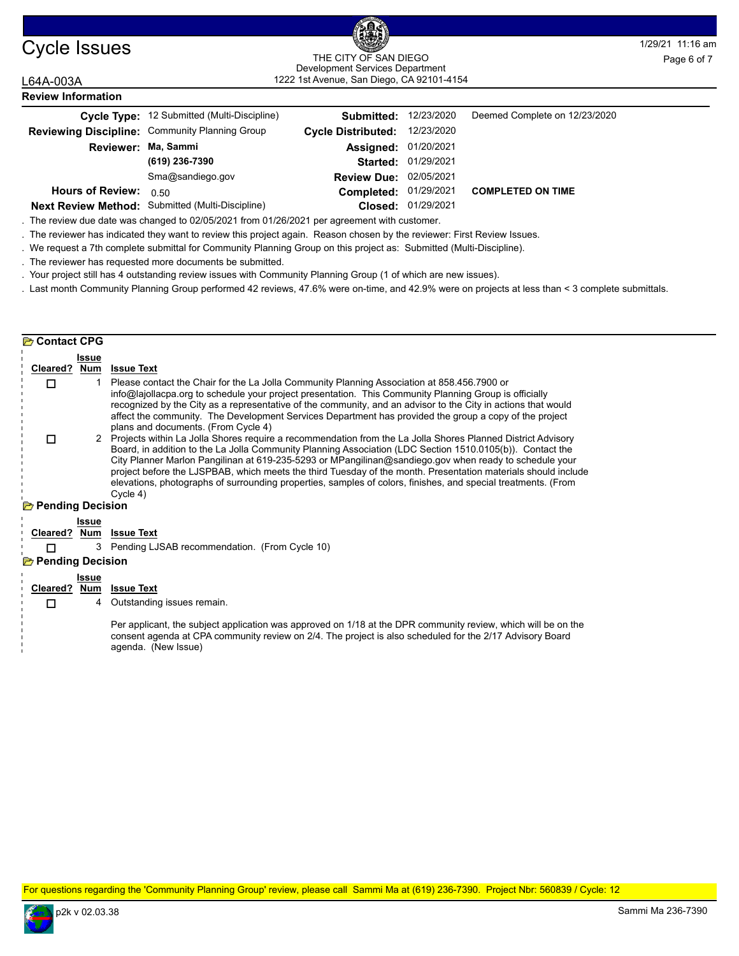

**Review Information**

#### Cycle Issues and the City of San Diego and the City of San Diego and the City of San Diego and the City of San Diego and the City of San Diego and the City of San Diego and the City of San Diego and The City of San Diego a 1222 1st Avenue, San Diego, CA 92101-4154 THE CITY OF SAN DIEGO Development Services Department

### L64A-003A

**Contact CPG** 

|                         | Cycle Type: 12 Submitted (Multi-Discipline)      | Submitted:                    | 12/23/2020          | Deemed Complete on 12/23/2020 |
|-------------------------|--------------------------------------------------|-------------------------------|---------------------|-------------------------------|
|                         | Reviewing Discipline: Community Planning Group   | <b>Cycle Distributed:</b>     | 12/23/2020          |                               |
| Reviewer: Ma, Sammi     |                                                  | <b>Assigned: 01/20/2021</b>   |                     |                               |
|                         | (619) 236-7390                                   |                               | Started: 01/29/2021 |                               |
|                         | Sma@sandiego.gov                                 | <b>Review Due: 02/05/2021</b> |                     |                               |
| <b>Hours of Review:</b> | 0.50                                             | Completed: 01/29/2021         |                     | <b>COMPLETED ON TIME</b>      |
|                         | Next Review Method: Submitted (Multi-Discipline) |                               | Closed: 01/29/2021  |                               |

. The review due date was changed to 02/05/2021 from 01/26/2021 per agreement with customer.

. The reviewer has indicated they want to review this project again. Reason chosen by the reviewer: First Review Issues.

. We request a 7th complete submittal for Community Planning Group on this project as: Submitted (Multi-Discipline).

. The reviewer has requested more documents be submitted.

. Your project still has 4 outstanding review issues with Community Planning Group (1 of which are new issues).

. Last month Community Planning Group performed 42 reviews, 47.6% were on-time, and 42.9% were on projects at less than < 3 complete submittals.

#### **Issue Cleared ? Num Issue Text** 1 Please contact the Chair for the La Jolla Community Planning Association at 858.456.7900 or info@lajollacpa.org to schedule your project presentation. This Community Planning Group is officially recognized by the City as a representative of the community, and an advisor to the City in actions that would affect the community. The Development Services Department has provided the group a copy of the project plans and documents. (From Cycle 4) □ 2 Projects within La Jolla Shores require a recommendation from the La Jolla Shores Planned District Advisory Board, in addition to the La Jolla Community Planning Association (LDC Section 1510.0105(b)). Contact the City Planner Marlon Pangilinan at 619-235-5293 or MPangilinan@sandiego.gov when ready to schedule your project before the LJSPBAB, which meets the third Tuesday of the month. Presentation materials should include elevations, photographs of surrounding properties, samples of colors, finishes, and special treatments. (From Cycle 4)  $\Box$ **Pending Decision Issue Cleared ? Num Issue Text T** 3 Pending LJSAB recommendation. (From Cycle 10) **Pending Decision Issue Cleared ? Num Issue Text**

4 Outstanding issues remain. П

> Per applicant, the subject application was approved on 1/18 at the DPR community review, which will be on the consent agenda at CPA community review on 2/4. The project is also scheduled for the 2/17 Advisory Board agenda. (New Issue)

For questions regarding the 'Community Planning Group' review, please call Sammi Ma at (619) 236-7390. Project Nbr: 560839 / Cycle: 12

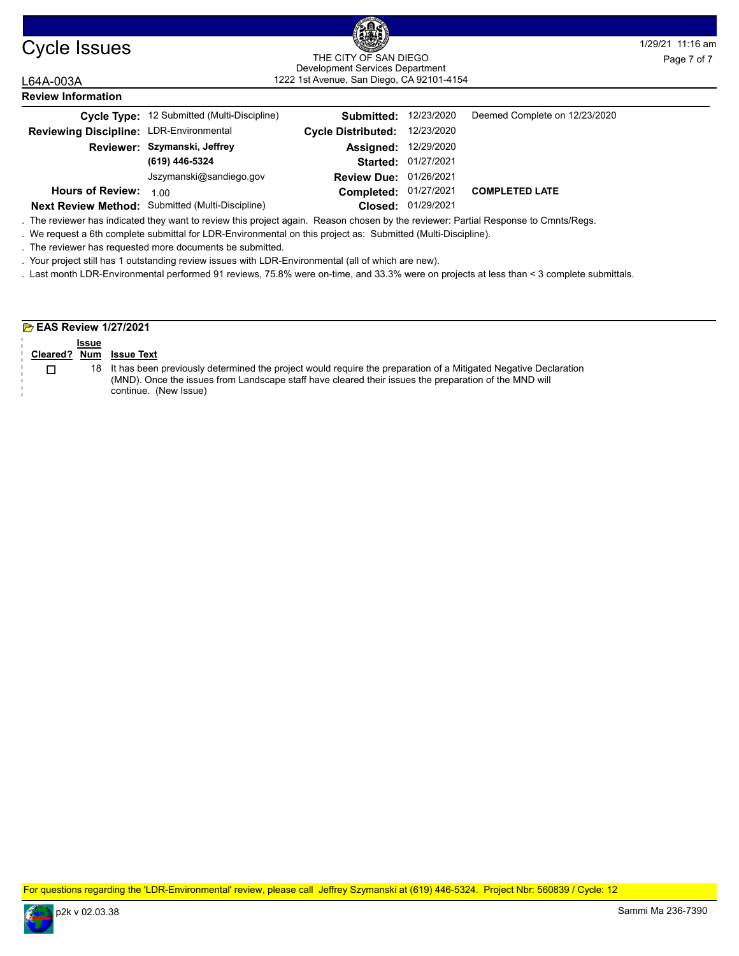| Cycle Issues |  |  |  |
|--------------|--|--|--|
|--------------|--|--|--|

L64A-003A

#### Cycle Issues **1/29/21 11:16 am** 1222 1st Avenue, San Diego, CA 92101-4154 THE CITY OF SAN DIEGO THE CITY OF SAN DIEGO<br>
Development Services Department<br>
Page 7 of 7

| LU4A-UUJA                               |                                                                                                                                                                                                                                                      | $1222$ Total voltage, barriblege, or typing the $-$ |            |                               |  |
|-----------------------------------------|------------------------------------------------------------------------------------------------------------------------------------------------------------------------------------------------------------------------------------------------------|-----------------------------------------------------|------------|-------------------------------|--|
| <b>Review Information</b>               |                                                                                                                                                                                                                                                      |                                                     |            |                               |  |
|                                         | Cycle Type: 12 Submitted (Multi-Discipline)                                                                                                                                                                                                          | Submitted:                                          | 12/23/2020 | Deemed Complete on 12/23/2020 |  |
| Reviewing Discipline: LDR-Environmental |                                                                                                                                                                                                                                                      | <b>Cycle Distributed:</b>                           | 12/23/2020 |                               |  |
|                                         | Reviewer: Szymanski, Jeffrey                                                                                                                                                                                                                         | Assigned:                                           | 12/29/2020 |                               |  |
|                                         | (619) 446-5324                                                                                                                                                                                                                                       | Started:                                            | 01/27/2021 |                               |  |
|                                         | Jszymanski@sandiego.gov                                                                                                                                                                                                                              | <b>Review Due:</b>                                  | 01/26/2021 |                               |  |
| <b>Hours of Review:</b>                 | 1.00                                                                                                                                                                                                                                                 | Completed:                                          | 01/27/2021 | <b>COMPLETED LATE</b>         |  |
|                                         | Next Review Method: Submitted (Multi-Discipline)                                                                                                                                                                                                     | Closed:                                             | 01/29/2021 |                               |  |
|                                         | . The reviewer has indicated they want to review this project again. Reason chosen by the reviewer: Partial Response to Cmnts/Regs.<br>. We request a 6th complete submittal for LDR-Environmental on this project as: Submitted (Multi-Discipline). |                                                     |            |                               |  |

. The reviewer has requested more documents be submitted.

. Your project still has 1 outstanding review issues with LDR-Environmental (all of which are new).

. Last month LDR-Environmental performed 91 reviews, 75.8% were on-time, and 33.3% were on projects at less than < 3 complete submittals.

| <b>Extra Review 1/27/2021</b> |              |                                                                                                                                                                                                                                                      |  |  |  |  |  |
|-------------------------------|--------------|------------------------------------------------------------------------------------------------------------------------------------------------------------------------------------------------------------------------------------------------------|--|--|--|--|--|
|                               | <b>Issue</b> |                                                                                                                                                                                                                                                      |  |  |  |  |  |
| Cleared?                      | <b>Num</b>   | <b>Issue Text</b>                                                                                                                                                                                                                                    |  |  |  |  |  |
|                               |              | 18 It has been previously determined the project would require the preparation of a Mitigated Negative Declaration<br>(MND). Once the issues from Landscape staff have cleared their issues the preparation of the MND will<br>continue. (New Issue) |  |  |  |  |  |

For questions regarding the 'LDR-Environmental' review, please call Jeffrey Szymanski at (619) 446-5324. Project Nbr: 560839 / Cycle: 12